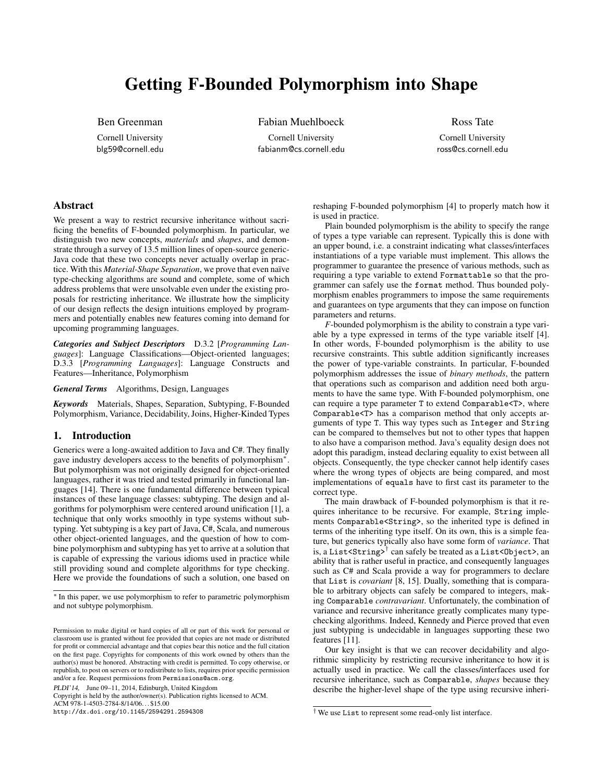# Getting F-Bounded Polymorphism into Shape

Ben Greenman

Cornell University blg59@cornell.edu Fabian Muehlboeck

Cornell University fabianm@cs.cornell.edu

Ross Tate Cornell University ross@cs.cornell.edu

### Abstract

We present a way to restrict recursive inheritance without sacrificing the benefits of F-bounded polymorphism. In particular, we distinguish two new concepts, *materials* and *shapes*, and demonstrate through a survey of 13.5 million lines of open-source generic-Java code that these two concepts never actually overlap in practice. With this *Material-Shape Separation*, we prove that even naïve type-checking algorithms are sound and complete, some of which address problems that were unsolvable even under the existing proposals for restricting inheritance. We illustrate how the simplicity of our design reflects the design intuitions employed by programmers and potentially enables new features coming into demand for upcoming programming languages.

*Categories and Subject Descriptors* D.3.2 [*Programming Languages*]: Language Classifications—Object-oriented languages; D.3.3 [*Programming Languages*]: Language Constructs and Features—Inheritance, Polymorphism

*General Terms* Algorithms, Design, Languages

*Keywords* Materials, Shapes, Separation, Subtyping, F-Bounded Polymorphism, Variance, Decidability, Joins, Higher-Kinded Types

### 1. Introduction

Generics were a long-awaited addition to Java and C#. They finally gave industry developers access to the benefits of polymorphism<sup>∗</sup> . But polymorphism was not originally designed for object-oriented languages, rather it was tried and tested primarily in functional languages [14]. There is one fundamental difference between typical instances of these language classes: subtyping. The design and algorithms for polymorphism were centered around unification [1], a technique that only works smoothly in type systems without subtyping. Yet subtyping is a key part of Java, C#, Scala, and numerous other object-oriented languages, and the question of how to combine polymorphism and subtyping has yet to arrive at a solution that is capable of expressing the various idioms used in practice while still providing sound and complete algorithms for type checking. Here we provide the foundations of such a solution, one based on

PLDI'14, June 09–11, 2014, Edinburgh, United Kingdom

Copyright is held by the author/owner(s). Publication rights licensed to ACM. ACM 978-1-4503-2784-8/14/06. . . \$15.00

http://dx.doi.org/10.1145/2594291.2594308

reshaping F-bounded polymorphism [4] to properly match how it is used in practice.

Plain bounded polymorphism is the ability to specify the range of types a type variable can represent. Typically this is done with an upper bound, i.e. a constraint indicating what classes/interfaces instantiations of a type variable must implement. This allows the programmer to guarantee the presence of various methods, such as requiring a type variable to extend Formattable so that the programmer can safely use the format method. Thus bounded polymorphism enables programmers to impose the same requirements and guarantees on type arguments that they can impose on function parameters and returns.

*F*-bounded polymorphism is the ability to constrain a type variable by a type expressed in terms of the type variable itself [4]. In other words, F-bounded polymorphism is the ability to use recursive constraints. This subtle addition significantly increases the power of type-variable constraints. In particular, F-bounded polymorphism addresses the issue of *binary methods*, the pattern that operations such as comparison and addition need both arguments to have the same type. With F-bounded polymorphism, one can require a type parameter T to extend Comparable<T>, where Comparable<T> has a comparison method that only accepts arguments of type T. This way types such as Integer and String can be compared to themselves but not to other types that happen to also have a comparison method. Java's equality design does not adopt this paradigm, instead declaring equality to exist between all objects. Consequently, the type checker cannot help identify cases where the wrong types of objects are being compared, and most implementations of equals have to first cast its parameter to the correct type.

The main drawback of F-bounded polymorphism is that it requires inheritance to be recursive. For example, String implements Comparable<String>, so the inherited type is defined in terms of the inheriting type itself. On its own, this is a simple feature, but generics typically also have some form of *variance*. That is, a List<String>† can safely be treated as a List<Object>, an ability that is rather useful in practice, and consequently languages such as C# and Scala provide a way for programmers to declare that List is *covariant* [8, 15]. Dually, something that is comparable to arbitrary objects can safely be compared to integers, making Comparable *contravariant*. Unfortunately, the combination of variance and recursive inheritance greatly complicates many typechecking algorithms. Indeed, Kennedy and Pierce proved that even just subtyping is undecidable in languages supporting these two features [11].

Our key insight is that we can recover decidability and algorithmic simplicity by restricting recursive inheritance to how it is actually used in practice. We call the classes/interfaces used for recursive inheritance, such as Comparable, *shapes* because they describe the higher-level shape of the type using recursive inheri-

<sup>∗</sup> In this paper, we use polymorphism to refer to parametric polymorphism and not subtype polymorphism.

Permission to make digital or hard copies of all or part of this work for personal or classroom use is granted without fee provided that copies are not made or distributed for profit or commercial advantage and that copies bear this notice and the full citation on the first page. Copyrights for components of this work owned by others than the author(s) must be honored. Abstracting with credit is permitted. To copy otherwise, or republish, to post on servers or to redistribute to lists, requires prior specific permission and/or a fee. Request permissions from Permissions@acm.org.

<sup>†</sup> We use List to represent some read-only list interface.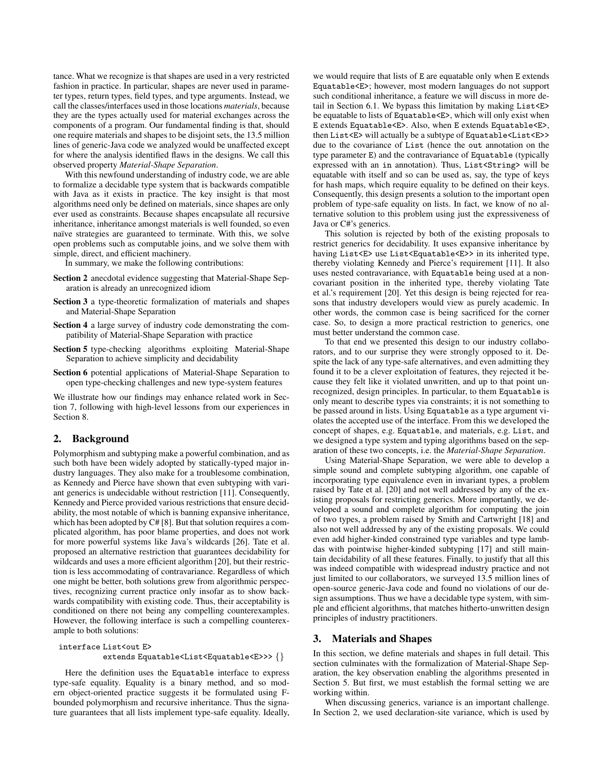tance. What we recognize is that shapes are used in a very restricted fashion in practice. In particular, shapes are never used in parameter types, return types, field types, and type arguments. Instead, we call the classes/interfaces used in those locations *materials*, because they are the types actually used for material exchanges across the components of a program. Our fundamental finding is that, should one require materials and shapes to be disjoint sets, the 13.5 million lines of generic-Java code we analyzed would be unaffected except for where the analysis identified flaws in the designs. We call this observed property *Material-Shape Separation*.

With this newfound understanding of industry code, we are able to formalize a decidable type system that is backwards compatible with Java as it exists in practice. The key insight is that most algorithms need only be defined on materials, since shapes are only ever used as constraints. Because shapes encapsulate all recursive inheritance, inheritance amongst materials is well founded, so even naïve strategies are guaranteed to terminate. With this, we solve open problems such as computable joins, and we solve them with simple, direct, and efficient machinery.

In summary, we make the following contributions:

- Section 2 anecdotal evidence suggesting that Material-Shape Separation is already an unrecognized idiom
- Section 3 a type-theoretic formalization of materials and shapes and Material-Shape Separation
- Section 4 a large survey of industry code demonstrating the compatibility of Material-Shape Separation with practice
- Section 5 type-checking algorithms exploiting Material-Shape Separation to achieve simplicity and decidability
- Section 6 potential applications of Material-Shape Separation to open type-checking challenges and new type-system features

We illustrate how our findings may enhance related work in Section 7, following with high-level lessons from our experiences in Section 8.

# 2. Background

Polymorphism and subtyping make a powerful combination, and as such both have been widely adopted by statically-typed major industry languages. They also make for a troublesome combination, as Kennedy and Pierce have shown that even subtyping with variant generics is undecidable without restriction [11]. Consequently, Kennedy and Pierce provided various restrictions that ensure decidability, the most notable of which is banning expansive inheritance, which has been adopted by C# [8]. But that solution requires a complicated algorithm, has poor blame properties, and does not work for more powerful systems like Java's wildcards [26]. Tate et al. proposed an alternative restriction that guarantees decidability for wildcards and uses a more efficient algorithm [20], but their restriction is less accommodating of contravariance. Regardless of which one might be better, both solutions grew from algorithmic perspectives, recognizing current practice only insofar as to show backwards compatibility with existing code. Thus, their acceptability is conditioned on there not being any compelling counterexamples. However, the following interface is such a compelling counterexample to both solutions:

### interface List<out E> extends Equatable<List<Equatable<E>>> {}

Here the definition uses the Equatable interface to express type-safe equality. Equality is a binary method, and so modern object-oriented practice suggests it be formulated using Fbounded polymorphism and recursive inheritance. Thus the signature guarantees that all lists implement type-safe equality. Ideally,

we would require that lists of E are equatable only when E extends Equatable<E>; however, most modern languages do not support such conditional inheritance, a feature we will discuss in more detail in Section 6.1. We bypass this limitation by making List<E> be equatable to lists of Equatable<E>, which will only exist when E extends Equatable<E>. Also, when E extends Equatable<E>, then List<E> will actually be a subtype of Equatable<List<E>> due to the covariance of List (hence the out annotation on the type parameter E) and the contravariance of Equatable (typically expressed with an in annotation). Thus, List<String> will be equatable with itself and so can be used as, say, the type of keys for hash maps, which require equality to be defined on their keys. Consequently, this design presents a solution to the important open problem of type-safe equality on lists. In fact, we know of no alternative solution to this problem using just the expressiveness of Java or C#'s generics.

This solution is rejected by both of the existing proposals to restrict generics for decidability. It uses expansive inheritance by having List<E> use List<Equatable<E>> in its inherited type, thereby violating Kennedy and Pierce's requirement [11]. It also uses nested contravariance, with Equatable being used at a noncovariant position in the inherited type, thereby violating Tate et al.'s requirement [20]. Yet this design is being rejected for reasons that industry developers would view as purely academic. In other words, the common case is being sacrificed for the corner case. So, to design a more practical restriction to generics, one must better understand the common case.

To that end we presented this design to our industry collaborators, and to our surprise they were strongly opposed to it. Despite the lack of any type-safe alternatives, and even admitting they found it to be a clever exploitation of features, they rejected it because they felt like it violated unwritten, and up to that point unrecognized, design principles. In particular, to them Equatable is only meant to describe types via constraints; it is not something to be passed around in lists. Using Equatable as a type argument violates the accepted use of the interface. From this we developed the concept of shapes, e.g. Equatable, and materials, e.g. List, and we designed a type system and typing algorithms based on the separation of these two concepts, i.e. the *Material-Shape Separation*.

Using Material-Shape Separation, we were able to develop a simple sound and complete subtyping algorithm, one capable of incorporating type equivalence even in invariant types, a problem raised by Tate et al. [20] and not well addressed by any of the existing proposals for restricting generics. More importantly, we developed a sound and complete algorithm for computing the join of two types, a problem raised by Smith and Cartwright [18] and also not well addressed by any of the existing proposals. We could even add higher-kinded constrained type variables and type lambdas with pointwise higher-kinded subtyping [17] and still maintain decidability of all these features. Finally, to justify that all this was indeed compatible with widespread industry practice and not just limited to our collaborators, we surveyed 13.5 million lines of open-source generic-Java code and found no violations of our design assumptions. Thus we have a decidable type system, with simple and efficient algorithms, that matches hitherto-unwritten design principles of industry practitioners.

### 3. Materials and Shapes

In this section, we define materials and shapes in full detail. This section culminates with the formalization of Material-Shape Separation, the key observation enabling the algorithms presented in Section 5. But first, we must establish the formal setting we are working within.

When discussing generics, variance is an important challenge. In Section 2, we used declaration-site variance, which is used by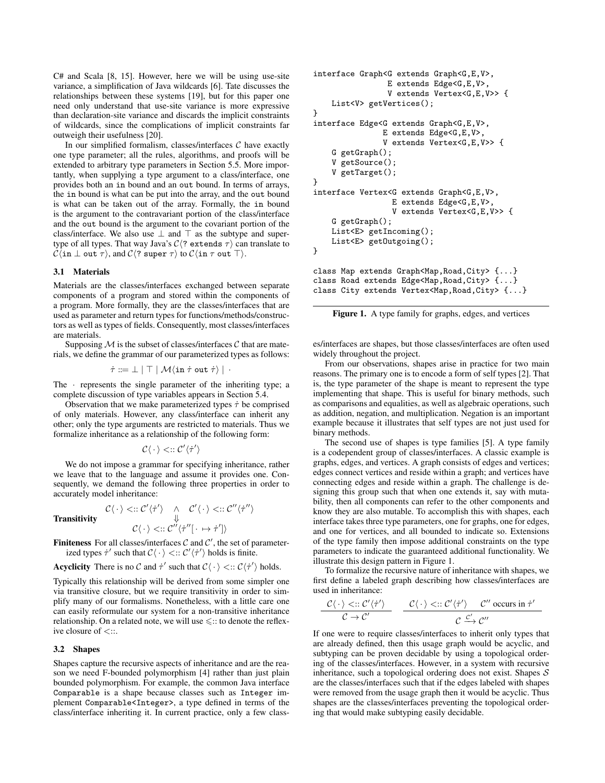C# and Scala [8, 15]. However, here we will be using use-site variance, a simplification of Java wildcards [6]. Tate discusses the relationships between these systems [19], but for this paper one need only understand that use-site variance is more expressive than declaration-site variance and discards the implicit constraints of wildcards, since the complications of implicit constraints far outweigh their usefulness [20].

In our simplified formalism, classes/interfaces  $C$  have exactly one type parameter; all the rules, algorithms, and proofs will be extended to arbitrary type parameters in Section 5.5. More importantly, when supplying a type argument to a class/interface, one provides both an in bound and an out bound. In terms of arrays, the in bound is what can be put into the array, and the out bound is what can be taken out of the array. Formally, the in bound is the argument to the contravariant portion of the class/interface and the out bound is the argument to the covariant portion of the class/interface. We also use  $\perp$  and  $\top$  as the subtype and supertype of all types. That way Java's  $C\langle ? \rightleftharpoons z \rightleftharpoons z \rightleftharpoons z \rightleftharpoons z \rightleftharpoons z \rightleftharpoons z \rightleftharpoons z \rightleftharpoons z \rightleftharpoons z \rightleftharpoons z \rightleftharpoons z \rightleftharpoons z \rightleftharpoons z \rightleftharpoons z \rightleftharpoons z \rightleftharpoons z \rightleftharpoons z \rightleftharpoons z \rightleftharpoons z \rightleftharpoons z \rightleftharpoons z \rightleftharpoons z \rightleftharpoons z \rightleftharpoons z \rightleftharpoons z \rightleftharpoons$  $\mathcal{C}\langle \text{in } \bot \text{ out } \tau \rangle$ , and  $\mathcal{C}\langle ? \text{ super } \tau \rangle$  to  $\mathcal{C}\langle \text{in } \tau \text{ out } \top \rangle$ .

#### 3.1 Materials

Materials are the classes/interfaces exchanged between separate components of a program and stored within the components of a program. More formally, they are the classes/interfaces that are used as parameter and return types for functions/methods/constructors as well as types of fields. Consequently, most classes/interfaces are materials.

Supposing  $M$  is the subset of classes/interfaces  $C$  that are materials, we define the grammar of our parameterized types as follows:

 $\dot{\tau} \coloneqq \perp | \top | \mathcal{M} \langle \texttt{in} \, \dot{\tau} \, \texttt{out} \, \dot{\tau} \rangle | \cdot$ 

The  $\cdot$  represents the single parameter of the inheriting type; a complete discussion of type variables appears in Section 5.4.

Observation that we make parameterized types  $\dot{\tau}$  be comprised of only materials. However, any class/interface can inherit any other; only the type arguments are restricted to materials. Thus we formalize inheritance as a relationship of the following form:

$$
\mathcal{C}\langle\,\cdot\,\rangle<::\mathcal{C}'\langle\dot{\tau}'\rangle
$$

We do not impose a grammar for specifying inheritance, rather we leave that to the language and assume it provides one. Consequently, we demand the following three properties in order to accurately model inheritance:

 $\mathcal{C}\langle \,\cdot\,\rangle<::\mathcal{C}'\langle\dot{\tau}'\rangle\quad\land\quad \mathcal{C}'\langle \,\cdot\,\rangle<::\mathcal{C}''\langle\dot{\tau}''\rangle$ 

**Transitivity** 

⇓  $\mathcal{C}\langle \,\cdot\, \rangle <::\mathcal{C}''\langle \dot{\tau}''[\,\cdot\ \mapsto \dot{\tau}'] \rangle$ 

Finiteness For all classes/interfaces  $C$  and  $C'$ , the set of parameterized types  $\dot{\tau}'$  such that  $\mathcal{C}\langle \cdot \rangle \langle \dot{\tau}' \rangle$  holds is finite.

**Acyclicity** There is no C and  $\dot{\tau}'$  such that  $C\langle \cdot \rangle \langle :C\langle \dot{\tau}' \rangle$  holds.

Typically this relationship will be derived from some simpler one via transitive closure, but we require transitivity in order to simplify many of our formalisms. Nonetheless, with a little care one can easily reformulate our system for a non-transitive inheritance relationship. On a related note, we will use  $\leq$ :: to denote the reflexive closure of  $\lt$ ::.

#### 3.2 Shapes

Shapes capture the recursive aspects of inheritance and are the reason we need F-bounded polymorphism [4] rather than just plain bounded polymorphism. For example, the common Java interface Comparable is a shape because classes such as Integer implement Comparable<Integer>, a type defined in terms of the class/interface inheriting it. In current practice, only a few class-

```
interface Graph<G extends Graph<G,E,V>,
                E extends Edge<G,E,V>,
                V extends Vertex<G,E,V>> {
    List<V> getVertices();
}
interface Edge<G extends Graph<G,E,V>,
               E extends Edge<G,E,V>,
               V extends Vertex<G,E,V>> {
    G getGraph();
    V getSource();
    V getTarget();
}
interface Vertex<G extends Graph<G,E,V>,
                 E extends Edge<G,E,V>,
                 V extends Vertex<G,E,V>> {
    G getGraph();
    List<E> getIncoming();
    List<E> getOutgoing();
}
class Map extends Graph<Map,Road,City> {...}
class Road extends Edge<Map,Road,City> {...}
```
class City extends Vertex<Map,Road,City> {...}



es/interfaces are shapes, but those classes/interfaces are often used widely throughout the project.

From our observations, shapes arise in practice for two main reasons. The primary one is to encode a form of self types [2]. That is, the type parameter of the shape is meant to represent the type implementing that shape. This is useful for binary methods, such as comparisons and equalities, as well as algebraic operations, such as addition, negation, and multiplication. Negation is an important example because it illustrates that self types are not just used for binary methods.

The second use of shapes is type families [5]. A type family is a codependent group of classes/interfaces. A classic example is graphs, edges, and vertices. A graph consists of edges and vertices; edges connect vertices and reside within a graph; and vertices have connecting edges and reside within a graph. The challenge is designing this group such that when one extends it, say with mutability, then all components can refer to the other components and know they are also mutable. To accomplish this with shapes, each interface takes three type parameters, one for graphs, one for edges, and one for vertices, and all bounded to indicate so. Extensions of the type family then impose additional constraints on the type parameters to indicate the guaranteed additional functionality. We illustrate this design pattern in Figure 1.

To formalize the recursive nature of inheritance with shapes, we first define a labeled graph describing how classes/interfaces are used in inheritance:

$$
\frac{\mathcal{C}\langle \cdot \rangle \langle :: \mathcal{C}'\langle \dot{\tau}' \rangle}{\mathcal{C} \rightarrow \mathcal{C}'}
$$
 
$$
\frac{\mathcal{C}\langle \cdot \rangle \langle :: \mathcal{C}'\langle \dot{\tau}' \rangle \mathcal{C}'' \text{ occurs in } \dot{\tau}' \rangle}{\mathcal{C} \xrightarrow{\mathcal{C}' \mathcal{C}' \Rightarrow \mathcal{C}''}
$$

If one were to require classes/interfaces to inherit only types that are already defined, then this usage graph would be acyclic, and subtyping can be proven decidable by using a topological ordering of the classes/interfaces. However, in a system with recursive inheritance, such a topological ordering does not exist. Shapes  $S$ are the classes/interfaces such that if the edges labeled with shapes were removed from the usage graph then it would be acyclic. Thus shapes are the classes/interfaces preventing the topological ordering that would make subtyping easily decidable.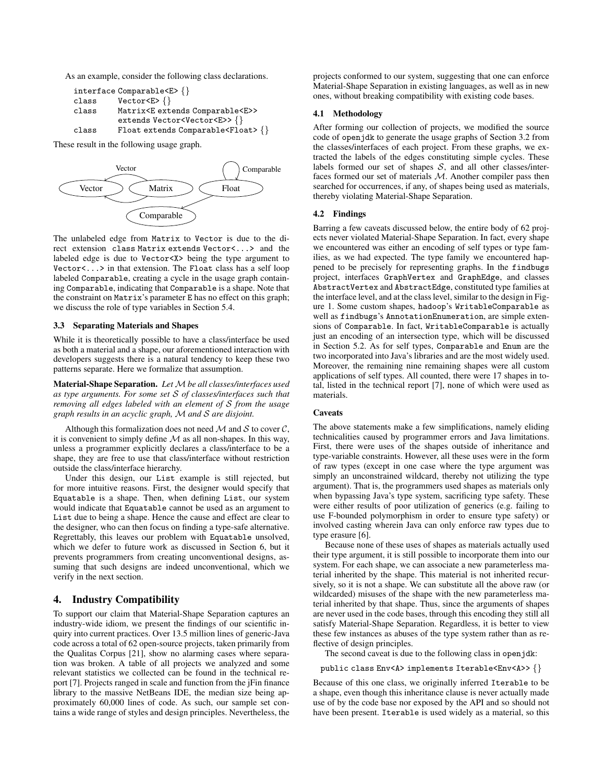As an example, consider the following class declarations.

```
interface Comparable<E> {}
class Vector<E> {}
class Matrix<E extends Comparable<E>>
         extends Vector<Vector<E>> {}
class Float extends Comparable<Float> {}
```
These result in the following usage graph.



The unlabeled edge from Matrix to Vector is due to the direct extension class Matrix extends Vector<...> and the labeled edge is due to Vector<X> being the type argument to Vector<...> in that extension. The Float class has a self loop labeled Comparable, creating a cycle in the usage graph containing Comparable, indicating that Comparable is a shape. Note that the constraint on Matrix's parameter E has no effect on this graph; we discuss the role of type variables in Section 5.4.

### 3.3 Separating Materials and Shapes

While it is theoretically possible to have a class/interface be used as both a material and a shape, our aforementioned interaction with developers suggests there is a natural tendency to keep these two patterns separate. Here we formalize that assumption.

Material-Shape Separation. *Let*M*be all classes/interfaces used as type arguments. For some set* S *of classes/interfaces such that removing all edges labeled with an element of* S *from the usage graph results in an acyclic graph,* M *and* S *are disjoint.*

Although this formalization does not need  $\mathcal M$  and  $\mathcal S$  to cover  $\mathcal C$ , it is convenient to simply define  $M$  as all non-shapes. In this way, unless a programmer explicitly declares a class/interface to be a shape, they are free to use that class/interface without restriction outside the class/interface hierarchy.

Under this design, our List example is still rejected, but for more intuitive reasons. First, the designer would specify that Equatable is a shape. Then, when defining List, our system would indicate that Equatable cannot be used as an argument to List due to being a shape. Hence the cause and effect are clear to the designer, who can then focus on finding a type-safe alternative. Regrettably, this leaves our problem with Equatable unsolved, which we defer to future work as discussed in Section 6, but it prevents programmers from creating unconventional designs, assuming that such designs are indeed unconventional, which we verify in the next section.

### 4. Industry Compatibility

To support our claim that Material-Shape Separation captures an industry-wide idiom, we present the findings of our scientific inquiry into current practices. Over 13.5 million lines of generic-Java code across a total of 62 open-source projects, taken primarily from the Qualitas Corpus [21], show no alarming cases where separation was broken. A table of all projects we analyzed and some relevant statistics we collected can be found in the technical report [7]. Projects ranged in scale and function from the jFin finance library to the massive NetBeans IDE, the median size being approximately 60,000 lines of code. As such, our sample set contains a wide range of styles and design principles. Nevertheless, the

projects conformed to our system, suggesting that one can enforce Material-Shape Separation in existing languages, as well as in new ones, without breaking compatibility with existing code bases.

### 4.1 Methodology

After forming our collection of projects, we modified the source code of openjdk to generate the usage graphs of Section 3.2 from the classes/interfaces of each project. From these graphs, we extracted the labels of the edges constituting simple cycles. These labels formed our set of shapes  $S$ , and all other classes/interfaces formed our set of materials M. Another compiler pass then searched for occurrences, if any, of shapes being used as materials, thereby violating Material-Shape Separation.

### 4.2 Findings

Barring a few caveats discussed below, the entire body of 62 projects never violated Material-Shape Separation. In fact, every shape we encountered was either an encoding of self types or type families, as we had expected. The type family we encountered happened to be precisely for representing graphs. In the findbugs project, interfaces GraphVertex and GraphEdge, and classes AbstractVertex and AbstractEdge, constituted type families at the interface level, and at the class level, similar to the design in Figure 1. Some custom shapes, hadoop's WritableComparable as well as findbugs's AnnotationEnumeration, are simple extensions of Comparable. In fact, WritableComparable is actually just an encoding of an intersection type, which will be discussed in Section 5.2. As for self types, Comparable and Enum are the two incorporated into Java's libraries and are the most widely used. Moreover, the remaining nine remaining shapes were all custom applications of self types. All counted, there were 17 shapes in total, listed in the technical report [7], none of which were used as materials.

### **Caveats**

The above statements make a few simplifications, namely eliding technicalities caused by programmer errors and Java limitations. First, there were uses of the shapes outside of inheritance and type-variable constraints. However, all these uses were in the form of raw types (except in one case where the type argument was simply an unconstrained wildcard, thereby not utilizing the type argument). That is, the programmers used shapes as materials only when bypassing Java's type system, sacrificing type safety. These were either results of poor utilization of generics (e.g. failing to use F-bounded polymorphism in order to ensure type safety) or involved casting wherein Java can only enforce raw types due to type erasure [6].

Because none of these uses of shapes as materials actually used their type argument, it is still possible to incorporate them into our system. For each shape, we can associate a new parameterless material inherited by the shape. This material is not inherited recursively, so it is not a shape. We can substitute all the above raw (or wildcarded) misuses of the shape with the new parameterless material inherited by that shape. Thus, since the arguments of shapes are never used in the code bases, through this encoding they still all satisfy Material-Shape Separation. Regardless, it is better to view these few instances as abuses of the type system rather than as reflective of design principles.

The second caveat is due to the following class in openjdk:

public class Env<A> implements Iterable<Env<A>> {}

Because of this one class, we originally inferred Iterable to be a shape, even though this inheritance clause is never actually made use of by the code base nor exposed by the API and so should not have been present. Iterable is used widely as a material, so this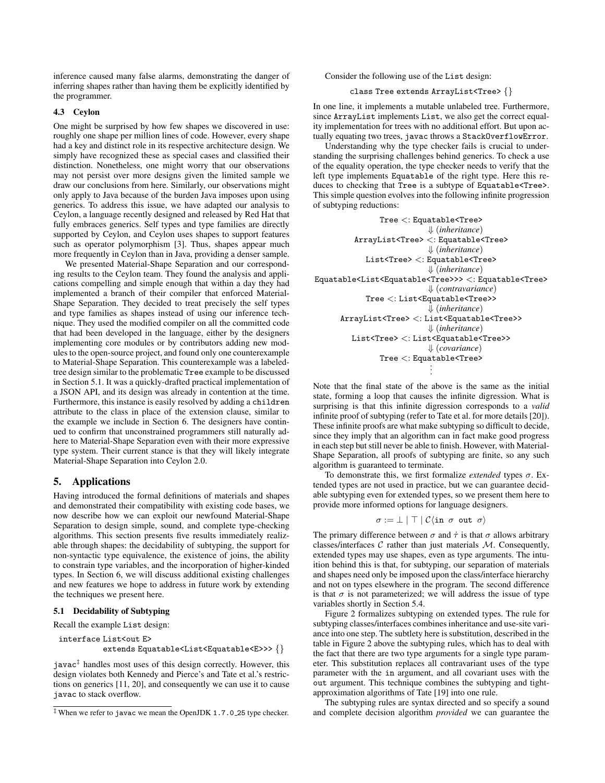inference caused many false alarms, demonstrating the danger of inferring shapes rather than having them be explicitly identified by the programmer.

### 4.3 Ceylon

One might be surprised by how few shapes we discovered in use: roughly one shape per million lines of code. However, every shape had a key and distinct role in its respective architecture design. We simply have recognized these as special cases and classified their distinction. Nonetheless, one might worry that our observations may not persist over more designs given the limited sample we draw our conclusions from here. Similarly, our observations might only apply to Java because of the burden Java imposes upon using generics. To address this issue, we have adapted our analysis to Ceylon, a language recently designed and released by Red Hat that fully embraces generics. Self types and type families are directly supported by Ceylon, and Ceylon uses shapes to support features such as operator polymorphism [3]. Thus, shapes appear much more frequently in Ceylon than in Java, providing a denser sample.

We presented Material-Shape Separation and our corresponding results to the Ceylon team. They found the analysis and applications compelling and simple enough that within a day they had implemented a branch of their compiler that enforced Material-Shape Separation. They decided to treat precisely the self types and type families as shapes instead of using our inference technique. They used the modified compiler on all the committed code that had been developed in the language, either by the designers implementing core modules or by contributors adding new modules to the open-source project, and found only one counterexample to Material-Shape Separation. This counterexample was a labeledtree design similar to the problematic Tree example to be discussed in Section 5.1. It was a quickly-drafted practical implementation of a JSON API, and its design was already in contention at the time. Furthermore, this instance is easily resolved by adding a children attribute to the class in place of the extension clause, similar to the example we include in Section 6. The designers have continued to confirm that unconstrained programmers still naturally adhere to Material-Shape Separation even with their more expressive type system. Their current stance is that they will likely integrate Material-Shape Separation into Ceylon 2.0.

### 5. Applications

Having introduced the formal definitions of materials and shapes and demonstrated their compatibility with existing code bases, we now describe how we can exploit our newfound Material-Shape Separation to design simple, sound, and complete type-checking algorithms. This section presents five results immediately realizable through shapes: the decidability of subtyping, the support for non-syntactic type equivalence, the existence of joins, the ability to constrain type variables, and the incorporation of higher-kinded types. In Section 6, we will discuss additional existing challenges and new features we hope to address in future work by extending the techniques we present here.

### 5.1 Decidability of Subtyping

Recall the example List design:

interface List<out E> extends Equatable<List<Equatable<E>>> {}

javac‡ handles most uses of this design correctly. However, this design violates both Kennedy and Pierce's and Tate et al.'s restrictions on generics [11, 20], and consequently we can use it to cause javac to stack overflow.

Consider the following use of the List design:

# class Tree extends ArrayList<Tree> {}

In one line, it implements a mutable unlabeled tree. Furthermore, since ArrayList implements List, we also get the correct equality implementation for trees with no additional effort. But upon actually equating two trees, javac throws a StackOverflowError.

Understanding why the type checker fails is crucial to understanding the surprising challenges behind generics. To check a use of the equality operation, the type checker needs to verify that the left type implements Equatable of the right type. Here this reduces to checking that Tree is a subtype of Equatable<Tree>. This simple question evolves into the following infinite progression of subtyping reductions:



Note that the final state of the above is the same as the initial state, forming a loop that causes the infinite digression. What is surprising is that this infinite digression corresponds to a *valid* infinite proof of subtyping (refer to Tate et al. for more details [20]). These infinite proofs are what make subtyping so difficult to decide, since they imply that an algorithm can in fact make good progress in each step but still never be able to finish. However, with Material-Shape Separation, all proofs of subtyping are finite, so any such algorithm is guaranteed to terminate.

To demonstrate this, we first formalize *extended* types σ. Extended types are not used in practice, but we can guarantee decidable subtyping even for extended types, so we present them here to provide more informed options for language designers.

$$
\sigma := \bot \mid \top \mid \mathcal{C}\langle \mathtt{in}\ \sigma\ \mathtt{out}\ \sigma \rangle
$$

The primary difference between  $\sigma$  and  $\dot{\tau}$  is that  $\sigma$  allows arbitrary classes/interfaces  $C$  rather than just materials  $M$ . Consequently, extended types may use shapes, even as type arguments. The intuition behind this is that, for subtyping, our separation of materials and shapes need only be imposed upon the class/interface hierarchy and not on types elsewhere in the program. The second difference is that  $\sigma$  is not parameterized; we will address the issue of type variables shortly in Section 5.4.

Figure 2 formalizes subtyping on extended types. The rule for subtyping classes/interfaces combines inheritance and use-site variance into one step. The subtlety here is substitution, described in the table in Figure 2 above the subtyping rules, which has to deal with the fact that there are two type arguments for a single type parameter. This substitution replaces all contravariant uses of the type parameter with the in argument, and all covariant uses with the out argument. This technique combines the subtyping and tightapproximation algorithms of Tate [19] into one rule.

The subtyping rules are syntax directed and so specify a sound and complete decision algorithm *provided* we can guarantee the

<sup>‡</sup> When we refer to javac we mean the OpenJDK 1.7.0 25 type checker.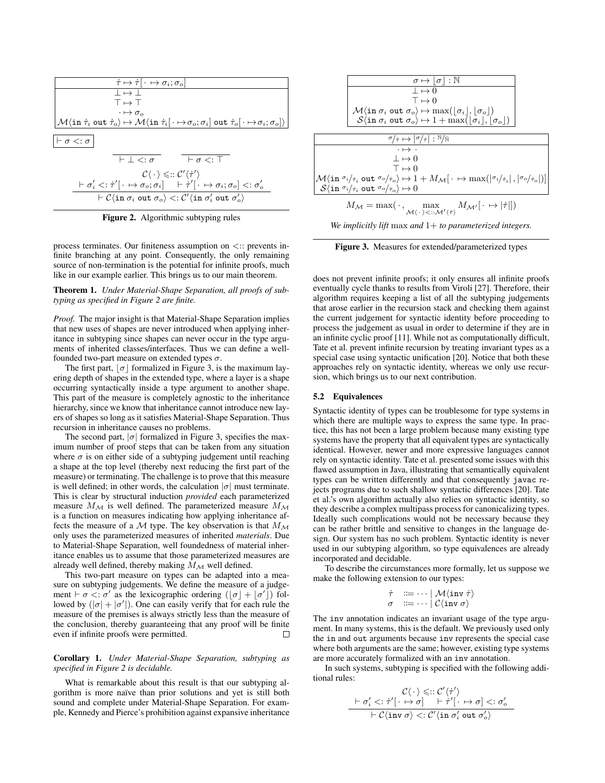

Figure 2. Algorithmic subtyping rules

process terminates. Our finiteness assumption on <:: prevents infinite branching at any point. Consequently, the only remaining source of non-termination is the potential for infinite proofs, much like in our example earlier. This brings us to our main theorem.

Theorem 1. *Under Material-Shape Separation, all proofs of subtyping as specified in Figure 2 are finite.*

*Proof.* The major insight is that Material-Shape Separation implies that new uses of shapes are never introduced when applying inheritance in subtyping since shapes can never occur in the type arguments of inherited classes/interfaces. Thus we can define a wellfounded two-part measure on extended types  $\sigma$ .

The first part,  $|\sigma|$  formalized in Figure 3, is the maximum layering depth of shapes in the extended type, where a layer is a shape occurring syntactically inside a type argument to another shape. This part of the measure is completely agnostic to the inheritance hierarchy, since we know that inheritance cannot introduce new layers of shapes so long as it satisfies Material-Shape Separation. Thus recursion in inheritance causes no problems.

The second part,  $|\sigma|$  formalized in Figure 3, specifies the maximum number of proof steps that can be taken from any situation where  $\sigma$  is on either side of a subtyping judgement until reaching a shape at the top level (thereby next reducing the first part of the measure) or terminating. The challenge is to prove that this measure is well defined; in other words, the calculation  $|\sigma|$  must terminate. This is clear by structural induction *provided* each parameterized measure  $M_{\mathcal{M}}$  is well defined. The parameterized measure  $M_{\mathcal{M}}$ is a function on measures indicating how applying inheritance affects the measure of a M type. The key observation is that  $M_{\mathcal{M}}$ only uses the parameterized measures of inherited *materials*. Due to Material-Shape Separation, well foundedness of material inheritance enables us to assume that those parameterized measures are already well defined, thereby making  $M_{\mathcal{M}}$  well defined.

This two-part measure on types can be adapted into a measure on subtyping judgements. We define the measure of a judgement  $\vdash \sigma \lt: \vdots \sigma'$  as the lexicographic ordering  $(|\sigma| + |\sigma'|)$  followed by  $(|\sigma| + |\sigma'|)$ . One can easily verify that for each rule the measure of the premises is always strictly less than the measure of the conclusion, thereby guaranteeing that any proof will be finite even if infinite proofs were permitted.  $\Box$ 

Corollary 1. *Under Material-Shape Separation, subtyping as specified in Figure 2 is decidable.*

What is remarkable about this result is that our subtyping algorithm is more naïve than prior solutions and yet is still both sound and complete under Material-Shape Separation. For example, Kennedy and Pierce's prohibition against expansive inheritance



Figure 3. Measures for extended/parameterized types

does not prevent infinite proofs; it only ensures all infinite proofs eventually cycle thanks to results from Viroli [27]. Therefore, their algorithm requires keeping a list of all the subtyping judgements that arose earlier in the recursion stack and checking them against the current judgement for syntactic identity before proceeding to process the judgement as usual in order to determine if they are in an infinite cyclic proof [11]. While not as computationally difficult, Tate et al. prevent infinite recursion by treating invariant types as a special case using syntactic unification [20]. Notice that both these approaches rely on syntactic identity, whereas we only use recursion, which brings us to our next contribution.

#### 5.2 Equivalences

Syntactic identity of types can be troublesome for type systems in which there are multiple ways to express the same type. In practice, this has not been a large problem because many existing type systems have the property that all equivalent types are syntactically identical. However, newer and more expressive languages cannot rely on syntactic identity. Tate et al. presented some issues with this flawed assumption in Java, illustrating that semantically equivalent types can be written differently and that consequently javac rejects programs due to such shallow syntactic differences [20]. Tate et al.'s own algorithm actually also relies on syntactic identity, so they describe a complex multipass process for canonicalizing types. Ideally such complications would not be necessary because they can be rather brittle and sensitive to changes in the language design. Our system has no such problem. Syntactic identity is never used in our subtyping algorithm, so type equivalences are already incorporated and decidable.

To describe the circumstances more formally, let us suppose we make the following extension to our types:

$$
\begin{array}{ll}\n\dot{\tau} & ::= \cdots \mid \mathcal{M} \langle \text{inv } \dot{\tau} \rangle \\
\sigma & ::= \cdots \mid \mathcal{C} \langle \text{inv } \sigma \rangle\n\end{array}
$$

The inv annotation indicates an invariant usage of the type argument. In many systems, this is the default. We previously used only the in and out arguments because inv represents the special case where both arguments are the same; however, existing type systems are more accurately formalized with an inv annotation.

In such systems, subtyping is specified with the following additional rules:

$$
\begin{array}{c} \mathcal{C}\langle \, \cdot \, \rangle \leqslant :: \mathcal{C}'\langle \dot{\tau}' \rangle \\ \hline \quad \vdash \sigma_i' <: \dot{\tau}'[\, \cdot \, \mapsto \sigma] \quad \vdash \dot{\tau}'[\, \cdot \, \mapsto \sigma] <: \sigma_o' \\ \hline \quad \vdash \mathcal{C}\langle \verb"inv"\, \sigma \rangle <: \mathcal{C}'\langle \verb"in"\, \sigma_i' \verb"out"\, \sigma_o' \rangle \end{array}
$$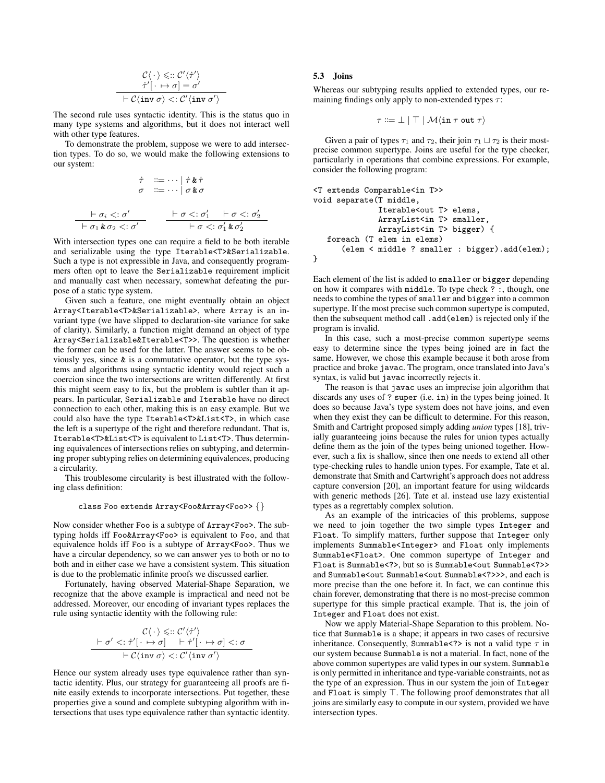$$
\mathcal{C}\langle \cdot \rangle \leq \mathcal{C}\langle \tau' \rangle
$$

$$
\mathcal{T}'[\cdot \mapsto \sigma] = \sigma'
$$

$$
\mathcal{C}\langle \mathbf{inv} \sigma \rangle \leq \mathcal{C}'\langle \mathbf{inv} \sigma' \rangle
$$

The second rule uses syntactic identity. This is the status quo in many type systems and algorithms, but it does not interact well with other type features.

To demonstrate the problem, suppose we were to add intersection types. To do so, we would make the following extensions to our system:

$$
\begin{array}{ccc}\n\dot{\tau} & \cdots & \dot{\tau} & \dot{\kappa} & \dot{\tau} \\
\sigma & \cdots & \dot{\sigma} & \dot{\kappa} & \sigma \\
\hline\n\vdots & \ddots & \dot{\sigma} & \dot{\kappa} & \sigma\n\end{array}
$$
\n
$$
\begin{array}{ccc}\n\downarrow & \sigma_{i} & \dot{\kappa} & \dot{\sigma}_{i} & \dot{\kappa} & \sigma_{i} \\
\hline\n\downarrow & \sigma_{1} & \dot{\kappa} & \sigma_{2} & \dot{\kappa} & \sigma_{i} \\
\hline\n\end{array}
$$

With intersection types one can require a field to be both iterable and serializable using the type Iterable<T>&Serializable. Such a type is not expressible in Java, and consequently programmers often opt to leave the Serializable requirement implicit and manually cast when necessary, somewhat defeating the purpose of a static type system.

Given such a feature, one might eventually obtain an object Array<Iterable<T>&Serializable>, where Array is an invariant type (we have slipped to declaration-site variance for sake of clarity). Similarly, a function might demand an object of type Array<Serializable&Iterable<T>>. The question is whether the former can be used for the latter. The answer seems to be obviously yes, since & is a commutative operator, but the type systems and algorithms using syntactic identity would reject such a coercion since the two intersections are written differently. At first this might seem easy to fix, but the problem is subtler than it appears. In particular, Serializable and Iterable have no direct connection to each other, making this is an easy example. But we could also have the type Iterable<T>&List<T>, in which case the left is a supertype of the right and therefore redundant. That is, Iterable<T>&List<T> is equivalent to List<T>. Thus determining equivalences of intersections relies on subtyping, and determining proper subtyping relies on determining equivalences, producing a circularity.

This troublesome circularity is best illustrated with the following class definition:

### class Foo extends Array<Foo&Array<Foo>> {}

Now consider whether Foo is a subtype of Array<Foo>. The subtyping holds iff Foo&Array<Foo> is equivalent to Foo, and that equivalence holds iff Foo is a subtype of Array<Foo>. Thus we have a circular dependency, so we can answer yes to both or no to both and in either case we have a consistent system. This situation is due to the problematic infinite proofs we discussed earlier.

Fortunately, having observed Material-Shape Separation, we recognize that the above example is impractical and need not be addressed. Moreover, our encoding of invariant types replaces the rule using syntactic identity with the following rule:

$$
\mathcal{C}\langle\,\cdot\,\rangle \leq \colon \mathcal{C}'\langle\dot{\tau}'\rangle \vdash \sigma' <: \dot{\tau}'[\, \cdot \, \mapsto \sigma] \quad \vdash \dot{\tau}'[\, \cdot \, \mapsto \sigma] <: \sigma \vdash \mathcal{C}\langle \verb"inv"\, \sigma \rangle <: \mathcal{C}'\langle \verb"inv"\, \sigma' \rangle
$$

Hence our system already uses type equivalence rather than syntactic identity. Plus, our strategy for guaranteeing all proofs are finite easily extends to incorporate intersections. Put together, these properties give a sound and complete subtyping algorithm with intersections that uses type equivalence rather than syntactic identity.

# 5.3 Joins

Whereas our subtyping results applied to extended types, our remaining findings only apply to non-extended types  $\tau$ :

$$
\tau ::= \bot \mid \top \mid \mathcal{M}\langle \mathtt{in}~ \tau ~\mathtt{out}~ \tau \rangle
$$

Given a pair of types  $\tau_1$  and  $\tau_2$ , their join  $\tau_1 \sqcup \tau_2$  is their mostprecise common supertype. Joins are useful for the type checker, particularly in operations that combine expressions. For example, consider the following program:

```
<T extends Comparable<in T>>
void separate(T middle,
              Iterable<out T> elems,
              ArrayList<in T> smaller,
              ArrayList<in T> bigger) {
   foreach (T elem in elems)
      (elem < middle ? smaller : bigger).add(elem);
}
```
Each element of the list is added to smaller or bigger depending on how it compares with middle. To type check ? :, though, one needs to combine the types of smaller and bigger into a common supertype. If the most precise such common supertype is computed, then the subsequent method call .add(elem) is rejected only if the program is invalid.

In this case, such a most-precise common supertype seems easy to determine since the types being joined are in fact the same. However, we chose this example because it both arose from practice and broke javac. The program, once translated into Java's syntax, is valid but javac incorrectly rejects it.

The reason is that javac uses an imprecise join algorithm that discards any uses of ? super (i.e. in) in the types being joined. It does so because Java's type system does not have joins, and even when they exist they can be difficult to determine. For this reason, Smith and Cartright proposed simply adding *union* types [18], trivially guaranteeing joins because the rules for union types actually define them as the join of the types being unioned together. However, such a fix is shallow, since then one needs to extend all other type-checking rules to handle union types. For example, Tate et al. demonstrate that Smith and Cartwright's approach does not address capture conversion [20], an important feature for using wildcards with generic methods [26]. Tate et al. instead use lazy existential types as a regrettably complex solution.

As an example of the intricacies of this problems, suppose we need to join together the two simple types Integer and Float. To simplify matters, further suppose that Integer only implements Summable<Integer> and Float only implements Summable<Float>. One common supertype of Integer and Float is Summable<?>, but so is Summable<out Summable<?>> and Summable<out Summable<out Summable<?>>>, and each is more precise than the one before it. In fact, we can continue this chain forever, demonstrating that there is no most-precise common supertype for this simple practical example. That is, the join of Integer and Float does not exist.

Now we apply Material-Shape Separation to this problem. Notice that Summable is a shape; it appears in two cases of recursive inheritance. Consequently, Summable <?> is not a valid type  $\tau$  in our system because Summable is not a material. In fact, none of the above common supertypes are valid types in our system. Summable is only permitted in inheritance and type-variable constraints, not as the type of an expression. Thus in our system the join of Integer and Float is simply ⊤. The following proof demonstrates that all joins are similarly easy to compute in our system, provided we have intersection types.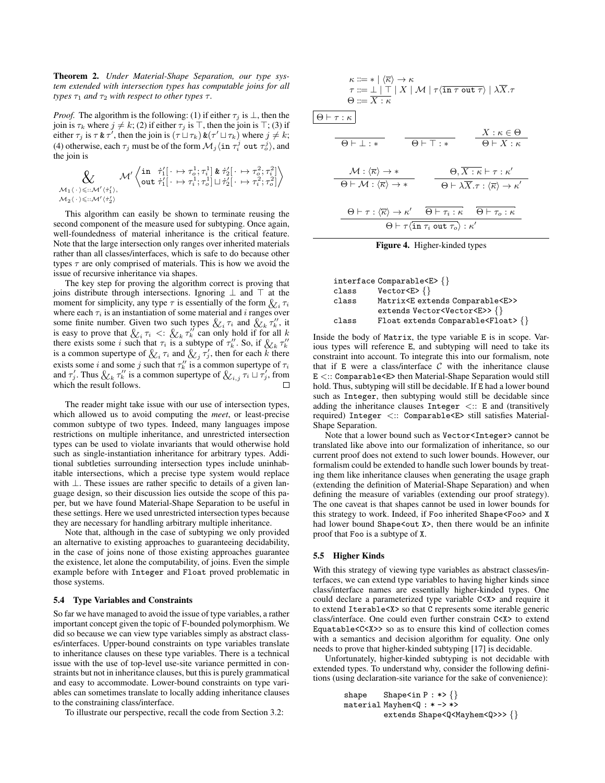Theorem 2. *Under Material-Shape Separation, our type system extended with intersection types has computable joins for all types*  $\tau_1$  *and*  $\tau_2$  *with respect to other types*  $\tau$ *.* 

*Proof.* The algorithm is the following: (1) if either  $\tau_j$  is  $\bot$ , then the join is  $\tau_k$  where  $j \neq k$ ; (2) if either  $\tau_j$  is  $\top$ , then the join is  $\top$ ; (3) if either  $\tau_j$  is  $\tau \& \tau'$ , then the join is  $(\tau \sqcup \tau_k) \& (\tau' \sqcup \tau_k)$  where  $j \neq k$ ; (4) otherwise, each  $\tau_j$  must be of the form  $\mathcal{M}_j \langle \text{in } \tau_i^j \text{ out } \tau_o^j \rangle$ , and the join is

$$
\bigotimes\limits_{\mathcal{M}_1\left(\cdot\right)\leqslant::\mathcal{M}'\left\langle\tau'_1\right|,\atop \mathcal{M}_2\left(\cdot\right)\leqslant::\mathcal{M}'\left\langle\tau'_1\right|,\atop \forall\tau'_1\left[\cdot\mapsto\tau_i^1;\tau_o^1\right]\sqcup\tau'_2\left[\cdot\mapsto\tau_i^2;\tau_o^2\right]\right\rangle
$$

This algorithm can easily be shown to terminate reusing the second component of the measure used for subtyping. Once again, well-foundedness of material inheritance is the critical feature. Note that the large intersection only ranges over inherited materials rather than all classes/interfaces, which is safe to do because other types  $\tau$  are only comprised of materials. This is how we avoid the issue of recursive inheritance via shapes.

The key step for proving the algorithm correct is proving that joins distribute through intersections. Ignoring  $\bot$  and  $\top$  at the moment for simplicity, any type  $\tau$  is essentially of the form  $\&_{i} \tau_{i}$ where each  $\tau_i$  is an instantiation of some material and i ranges over some finite number. Given two such types  $\&_{i} \tau_{i}$  and  $\&_{k} \tau_{k}'$ , it is easy to prove that  $\oint_{C_i} \tau_i \leq \oint_{C_k} \tau_k''$  can only hold if for all k there exists some i such that  $\tau_i$  is a subtype of  $\tau_k''$ . So, if  $\&&k \tau_k''$ is a common supertype of  $\oint_{C_i} \tau_i$  and  $\oint_{C_j} \tau'_j$ , then for each k there exists some i and some j such that  $\tau_k''$  is a common supertype of  $\tau_i$ and  $\tau'_j$ . Thus  $\&_{k} \tau''_k$  is a common supertype of  $\&_{i,j} \tau_i \sqcup \tau'_j$ , from which the result follows.

The reader might take issue with our use of intersection types, which allowed us to avoid computing the *meet*, or least-precise common subtype of two types. Indeed, many languages impose restrictions on multiple inheritance, and unrestricted intersection types can be used to violate invariants that would otherwise hold such as single-instantiation inheritance for arbitrary types. Additional subtleties surrounding intersection types include uninhabitable intersections, which a precise type system would replace with ⊥. These issues are rather specific to details of a given language design, so their discussion lies outside the scope of this paper, but we have found Material-Shape Separation to be useful in these settings. Here we used unrestricted intersection types because they are necessary for handling arbitrary multiple inheritance.

Note that, although in the case of subtyping we only provided an alternative to existing approaches to guaranteeing decidability, in the case of joins none of those existing approaches guarantee the existence, let alone the computability, of joins. Even the simple example before with Integer and Float proved problematic in those systems.

#### 5.4 Type Variables and Constraints

So far we have managed to avoid the issue of type variables, a rather important concept given the topic of F-bounded polymorphism. We did so because we can view type variables simply as abstract classes/interfaces. Upper-bound constraints on type variables translate to inheritance clauses on these type variables. There is a technical issue with the use of top-level use-site variance permitted in constraints but not in inheritance clauses, but this is purely grammatical and easy to accommodate. Lower-bound constraints on type variables can sometimes translate to locally adding inheritance clauses to the constraining class/interface.

To illustrate our perspective, recall the code from Section 3.2:



Figure 4. Higher-kinded types

|       | interface Comparable $\langle E \rangle$ $\langle \rangle$ |
|-------|------------------------------------------------------------|
| class | $Vector < E > \{\}$                                        |
| class | Matrix <e comparable<e="" extends="">&gt;</e>              |
|       | extends Vector <vector<e>&gt; {}</vector<e>                |
| class | Float extends Comparable $\times$ Float > $\{\}$           |
|       |                                                            |

Inside the body of Matrix, the type variable E is in scope. Various types will reference E, and subtyping will need to take its constraint into account. To integrate this into our formalism, note that if E were a class/interface  $C$  with the inheritance clause E <:: Comparable<E> then Material-Shape Separation would still hold. Thus, subtyping will still be decidable. If E had a lower bound such as Integer, then subtyping would still be decidable since adding the inheritance clauses  $Inter{Integer} < :: E$  and (transitively required) Integer <:: Comparable<E> still satisfies Material-Shape Separation.

Note that a lower bound such as Vector<Integer> cannot be translated like above into our formalization of inheritance, so our current proof does not extend to such lower bounds. However, our formalism could be extended to handle such lower bounds by treating them like inheritance clauses when generating the usage graph (extending the definition of Material-Shape Separation) and when defining the measure of variables (extending our proof strategy). The one caveat is that shapes cannot be used in lower bounds for this strategy to work. Indeed, if Foo inherited Shape<Foo> and X had lower bound Shape<out X>, then there would be an infinite proof that Foo is a subtype of X.

#### 5.5 Higher Kinds

With this strategy of viewing type variables as abstract classes/interfaces, we can extend type variables to having higher kinds since class/interface names are essentially higher-kinded types. One could declare a parameterized type variable C<X> and require it to extend Iterable<X> so that C represents some iterable generic class/interface. One could even further constrain C<X> to extend Equatable<C<X>> so as to ensure this kind of collection comes with a semantics and decision algorithm for equality. One only needs to prove that higher-kinded subtyping [17] is decidable.

Unfortunately, higher-kinded subtyping is not decidable with extended types. To understand why, consider the following definitions (using declaration-site variance for the sake of convenience):

```
shape Shape\{ \}material Mayhem<Q : * -> *>
        extends Shape<Q<Mayhem<Q>>> {}
```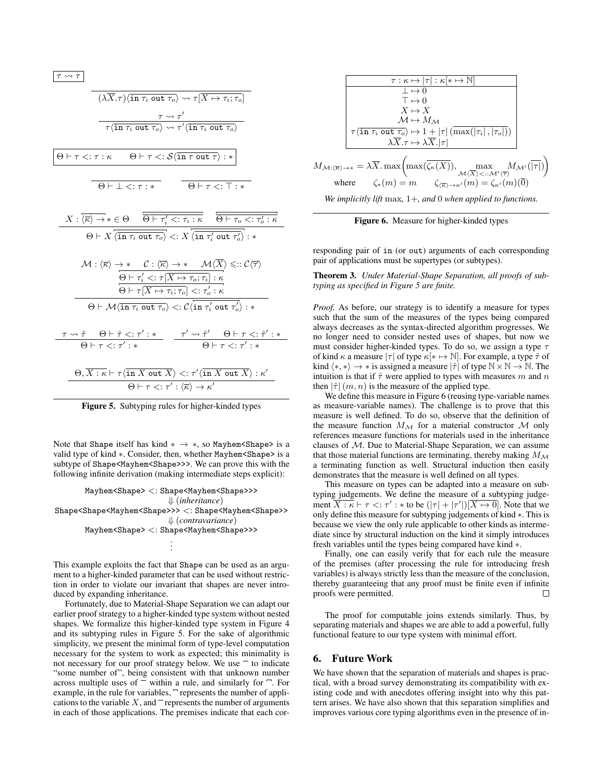

Figure 5. Subtyping rules for higher-kinded types

Note that Shape itself has kind  $* \rightarrow *$ , so Mayhem<Shape> is a valid type of kind ∗. Consider, then, whether Mayhem<Shape> is a subtype of Shape<Mayhem<Shape>>>. We can prove this with the following infinite derivation (making intermediate steps explicit):

Mayhem<Shape> <: Shape<Mayhem<Shape>>> ⇓ (*inheritance*) Shape<Shape<Mayhem<Shape>>> <: Shape<Mayhem<Shape>> ⇓ (*contravariance*) Mayhem<Shape> <: Shape<Mayhem<Shape>>> . . .

This example exploits the fact that Shape can be used as an argument to a higher-kinded parameter that can be used without restriction in order to violate our invariant that shapes are never introduced by expanding inheritance.

Fortunately, due to Material-Shape Separation we can adapt our earlier proof strategy to a higher-kinded type system without nested shapes. We formalize this higher-kinded type system in Figure 4 and its subtyping rules in Figure 5. For the sake of algorithmic simplicity, we present the minimal form of type-level computation necessary for the system to work as expected; this minimality is not necessary for our proof strategy below. We use  $^-$  to indicate "some number of", being consistent with that unknown number across multiple uses of  $\frac{3}{x}$  within a rule, and similarly for  $\frac{3}{x}$ . For example, in the rule for variables,  $\lceil$  represents the number of applications to the variable  $X$ , and  $^-$  represents the number of arguments in each of those applications. The premises indicate that each cor-





responding pair of in (or out) arguments of each corresponding pair of applications must be supertypes (or subtypes).

Theorem 3. *Under Material-Shape Separation, all proofs of subtyping as specified in Figure 5 are finite.*

*Proof.* As before, our strategy is to identify a measure for types such that the sum of the measures of the types being compared always decreases as the syntax-directed algorithm progresses. We no longer need to consider nested uses of shapes, but now we must consider higher-kinded types. To do so, we assign a type  $\tau$ of kind  $\kappa$  a measure  $|\tau|$  of type  $\kappa$ [\*  $\mapsto \mathbb{N}$ ]. For example, a type  $\hat{\tau}$  of kind  $\langle *, * \rangle \rightarrow *$  is assigned a measure  $|\hat{\tau}|$  of type  $\mathbb{N} \times \mathbb{N} \rightarrow \mathbb{N}$ . The intuition is that if  $\hat{\tau}$  were applied to types with measures m and n then  $|\hat{\tau}|(m, n)$  is the measure of the applied type.

We define this measure in Figure 6 (reusing type-variable names as measure-variable names). The challenge is to prove that this measure is well defined. To do so, observe that the definition of the measure function  $M_{\mathcal{M}}$  for a material constructor  $\mathcal M$  only references measure functions for materials used in the inheritance clauses of M. Due to Material-Shape Separation, we can assume that those material functions are terminating, thereby making  $M_{\mathcal{M}}$ a terminating function as well. Structural induction then easily demonstrates that the measure is well defined on all types.

This measure on types can be adapted into a measure on subtyping judgements. We define the measure of a subtyping judgement  $\overline{X:\kappa} \vdash \tau \lt: : \tau': *$  to be  $(|\tau| + |\tau'|)[\overline{X \mapsto 0}]$ . Note that we only define this measure for subtyping judgements of kind ∗. This is because we view the only rule applicable to other kinds as intermediate since by structural induction on the kind it simply introduces fresh variables until the types being compared have kind ∗.

Finally, one can easily verify that for each rule the measure of the premises (after processing the rule for introducing fresh variables) is always strictly less than the measure of the conclusion, thereby guaranteeing that any proof must be finite even if infinite proofs were permitted. П

The proof for computable joins extends similarly. Thus, by separating materials and shapes we are able to add a powerful, fully functional feature to our type system with minimal effort.

# 6. Future Work

We have shown that the separation of materials and shapes is practical, with a broad survey demonstrating its compatibility with existing code and with anecdotes offering insight into why this pattern arises. We have also shown that this separation simplifies and improves various core typing algorithms even in the presence of in-

 $\tau \leadsto \tau$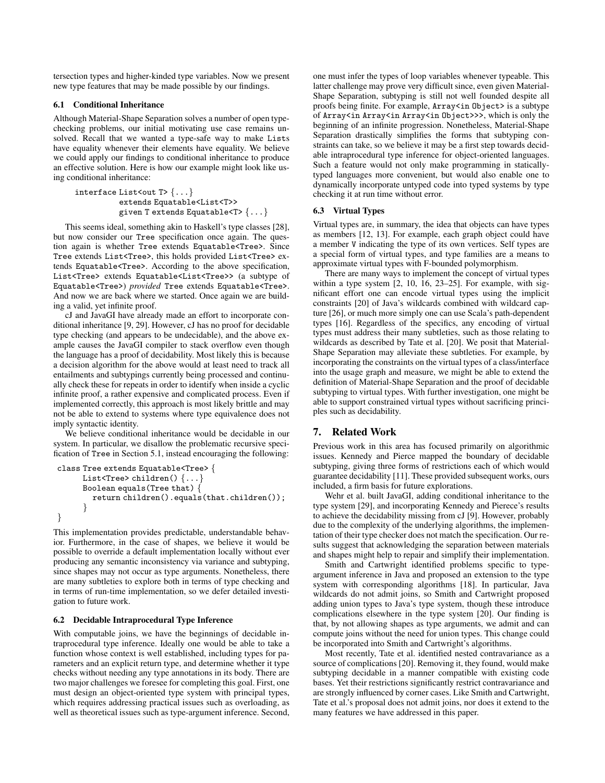tersection types and higher-kinded type variables. Now we present new type features that may be made possible by our findings.

### 6.1 Conditional Inheritance

Although Material-Shape Separation solves a number of open typechecking problems, our initial motivating use case remains unsolved. Recall that we wanted a type-safe way to make Lists have equality whenever their elements have equality. We believe we could apply our findings to conditional inheritance to produce an effective solution. Here is how our example might look like using conditional inheritance:

interface List<out T>  $\{ \ldots \}$ extends Equatable<List<T>> given T extends Equatable<T> {...}

This seems ideal, something akin to Haskell's type classes [28], but now consider our Tree specification once again. The question again is whether Tree extends Equatable<Tree>. Since Tree extends List<Tree>, this holds provided List<Tree> extends Equatable<Tree>. According to the above specification, List<Tree> extends Equatable<List<Tree>> (a subtype of Equatable<Tree>) *provided* Tree extends Equatable<Tree>. And now we are back where we started. Once again we are building a valid, yet infinite proof.

cJ and JavaGI have already made an effort to incorporate conditional inheritance [9, 29]. However, cJ has no proof for decidable type checking (and appears to be undecidable), and the above example causes the JavaGI compiler to stack overflow even though the language has a proof of decidability. Most likely this is because a decision algorithm for the above would at least need to track all entailments and subtypings currently being processed and continually check these for repeats in order to identify when inside a cyclic infinite proof, a rather expensive and complicated process. Even if implemented correctly, this approach is most likely brittle and may not be able to extend to systems where type equivalence does not imply syntactic identity.

We believe conditional inheritance would be decidable in our system. In particular, we disallow the problematic recursive specification of Tree in Section 5.1, instead encouraging the following:

```
class Tree extends Equatable<Tree> {
      List<Tree>children() \{ \ldots \}Boolean equals (Tree that) \overline{\left(}return children().equals(that.children());
       }
}
```
This implementation provides predictable, understandable behavior. Furthermore, in the case of shapes, we believe it would be possible to override a default implementation locally without ever producing any semantic inconsistency via variance and subtyping, since shapes may not occur as type arguments. Nonetheless, there are many subtleties to explore both in terms of type checking and in terms of run-time implementation, so we defer detailed investigation to future work.

### 6.2 Decidable Intraprocedural Type Inference

With computable joins, we have the beginnings of decidable intraprocedural type inference. Ideally one would be able to take a function whose context is well established, including types for parameters and an explicit return type, and determine whether it type checks without needing any type annotations in its body. There are two major challenges we foresee for completing this goal. First, one must design an object-oriented type system with principal types, which requires addressing practical issues such as overloading, as well as theoretical issues such as type-argument inference. Second, one must infer the types of loop variables whenever typeable. This latter challenge may prove very difficult since, even given Material-Shape Separation, subtyping is still not well founded despite all proofs being finite. For example, Array<in Object> is a subtype of Array<in Array<in Array<in Object>>>, which is only the beginning of an infinite progression. Nonetheless, Material-Shape Separation drastically simplifies the forms that subtyping constraints can take, so we believe it may be a first step towards decidable intraprocedural type inference for object-oriented languages. Such a feature would not only make programming in staticallytyped languages more convenient, but would also enable one to dynamically incorporate untyped code into typed systems by type checking it at run time without error.

### 6.3 Virtual Types

Virtual types are, in summary, the idea that objects can have types as members [12, 13]. For example, each graph object could have a member V indicating the type of its own vertices. Self types are a special form of virtual types, and type families are a means to approximate virtual types with F-bounded polymorphism.

There are many ways to implement the concept of virtual types within a type system [2, 10, 16, 23–25]. For example, with significant effort one can encode virtual types using the implicit constraints [20] of Java's wildcards combined with wildcard capture [26], or much more simply one can use Scala's path-dependent types [16]. Regardless of the specifics, any encoding of virtual types must address their many subtleties, such as those relating to wildcards as described by Tate et al. [20]. We posit that Material-Shape Separation may alleviate these subtleties. For example, by incorporating the constraints on the virtual types of a class/interface into the usage graph and measure, we might be able to extend the definition of Material-Shape Separation and the proof of decidable subtyping to virtual types. With further investigation, one might be able to support constrained virtual types without sacrificing principles such as decidability.

## 7. Related Work

Previous work in this area has focused primarily on algorithmic issues. Kennedy and Pierce mapped the boundary of decidable subtyping, giving three forms of restrictions each of which would guarantee decidability [11]. These provided subsequent works, ours included, a firm basis for future explorations.

Wehr et al. built JavaGI, adding conditional inheritance to the type system [29], and incorporating Kennedy and Pierece's results to achieve the decidability missing from cJ [9]. However, probably due to the complexity of the underlying algorithms, the implementation of their type checker does not match the specification. Our results suggest that acknowledging the separation between materials and shapes might help to repair and simplify their implementation.

Smith and Cartwright identified problems specific to typeargument inference in Java and proposed an extension to the type system with corresponding algorithms [18]. In particular, Java wildcards do not admit joins, so Smith and Cartwright proposed adding union types to Java's type system, though these introduce complications elsewhere in the type system [20]. Our finding is that, by not allowing shapes as type arguments, we admit and can compute joins without the need for union types. This change could be incorporated into Smith and Cartwright's algorithms.

Most recently, Tate et al. identified nested contravariance as a source of complications [20]. Removing it, they found, would make subtyping decidable in a manner compatible with existing code bases. Yet their restrictions significantly restrict contravariance and are strongly influenced by corner cases. Like Smith and Cartwright, Tate et al.'s proposal does not admit joins, nor does it extend to the many features we have addressed in this paper.